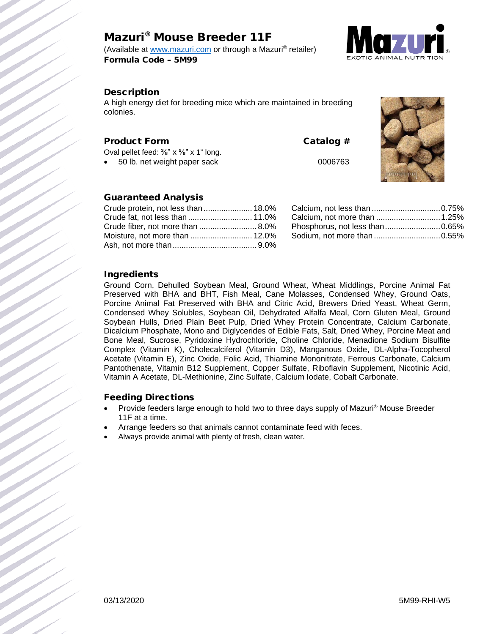# Mazuri® Mouse Breeder 11F

(Available at [www.mazuri.com](http://www.mazuri.com/) or through a Mazuri® retailer) Formula Code – 5M99



## Description

A high energy diet for breeding mice which are maintained in breeding colonies.

### Product Form Catalog #

Oval pellet feed: 3/<sub>8</sub>" x 5/<sub>8</sub>" x 1" long. • 50 lb. net weight paper sack 0006763



# Guaranteed Analysis

| Crude protein, not less than  18.0% |  |
|-------------------------------------|--|
| Crude fat, not less than  11.0%     |  |
| Crude fiber, not more than  8.0%    |  |
|                                     |  |
|                                     |  |
|                                     |  |

| Calcium, not more than  1.25%  |  |
|--------------------------------|--|
| Phosphorus, not less than0.65% |  |
|                                |  |
|                                |  |

### Ingredients

Ground Corn, Dehulled Soybean Meal, Ground Wheat, Wheat Middlings, Porcine Animal Fat Preserved with BHA and BHT, Fish Meal, Cane Molasses, Condensed Whey, Ground Oats, Porcine Animal Fat Preserved with BHA and Citric Acid, Brewers Dried Yeast, Wheat Germ, Condensed Whey Solubles, Soybean Oil, Dehydrated Alfalfa Meal, Corn Gluten Meal, Ground Soybean Hulls, Dried Plain Beet Pulp, Dried Whey Protein Concentrate, Calcium Carbonate, Dicalcium Phosphate, Mono and Diglycerides of Edible Fats, Salt, Dried Whey, Porcine Meat and Bone Meal, Sucrose, Pyridoxine Hydrochloride, Choline Chloride, Menadione Sodium Bisulfite Complex (Vitamin K), Cholecalciferol (Vitamin D3), Manganous Oxide, DL-Alpha-Tocopherol Acetate (Vitamin E), Zinc Oxide, Folic Acid, Thiamine Mononitrate, Ferrous Carbonate, Calcium Pantothenate, Vitamin B12 Supplement, Copper Sulfate, Riboflavin Supplement, Nicotinic Acid, Vitamin A Acetate, DL-Methionine, Zinc Sulfate, Calcium Iodate, Cobalt Carbonate.

#### Feeding Directions

- Provide feeders large enough to hold two to three days supply of Mazuri® Mouse Breeder 11F at a time.
- Arrange feeders so that animals cannot contaminate feed with feces.
- Always provide animal with plenty of fresh, clean water.